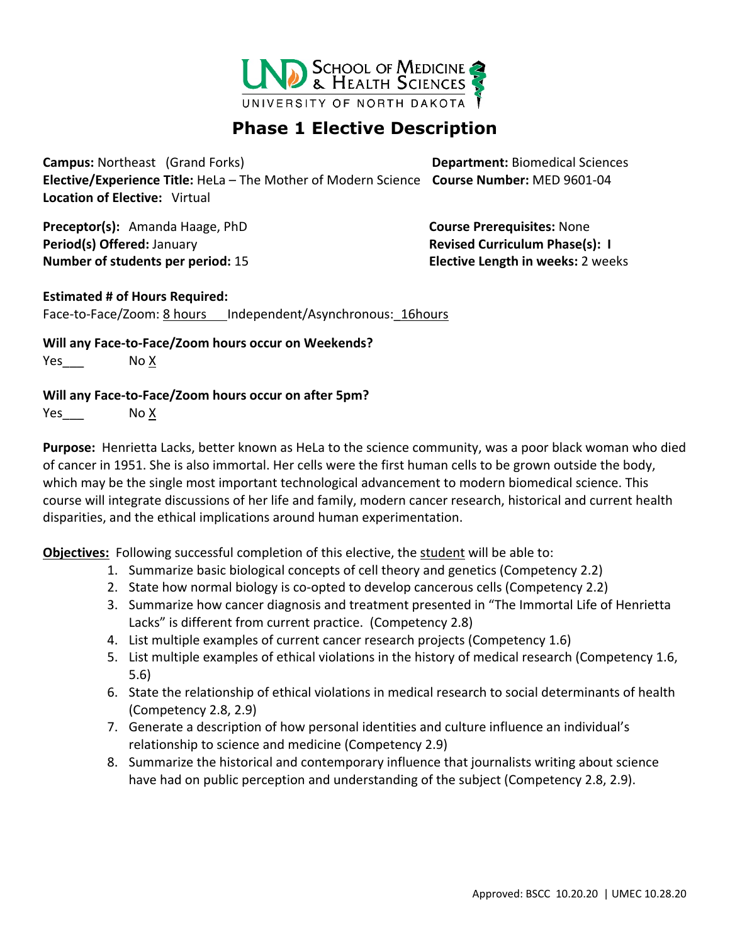

## **Phase 1 Elective Description**

**Campus:** Northeast (Grand Forks) **Department:** Biomedical Sciences **Elective/Experience Title:** HeLa – The Mother of Modern Science **Course Number:** MED 9601-04 **Location of Elective:** Virtual

**Preceptor(s):** Amanda Haage, PhD **Course Prerequisites:** None **Period(s) Offered:** January **Revised Curriculum Phase(s): I Number of students per period:** 15 **Elective Length in weeks:** 2 weeks

## **Estimated # of Hours Required:**

Face-to-Face/Zoom: 8 hours Independent/Asynchronous: 16hours

**Will any Face-to-Face/Zoom hours occur on Weekends?** Yes No X

## **Will any Face-to-Face/Zoom hours occur on after 5pm?**

Yes No X

**Purpose:** Henrietta Lacks, better known as HeLa to the science community, was a poor black woman who died of cancer in 1951. She is also immortal. Her cells were the first human cells to be grown outside the body, which may be the single most important technological advancement to modern biomedical science. This course will integrate discussions of her life and family, modern cancer research, historical and current health disparities, and the ethical implications around human experimentation.

**Objectives:** Following successful completion of this elective, the student will be able to:

- 1. Summarize basic biological concepts of cell theory and genetics (Competency 2.2)
- 2. State how normal biology is co-opted to develop cancerous cells (Competency 2.2)
- 3. Summarize how cancer diagnosis and treatment presented in "The Immortal Life of Henrietta Lacks" is different from current practice. (Competency 2.8)
- 4. List multiple examples of current cancer research projects (Competency 1.6)
- 5. List multiple examples of ethical violations in the history of medical research (Competency 1.6, 5.6)
- 6. State the relationship of ethical violations in medical research to social determinants of health (Competency 2.8, 2.9)
- 7. Generate a description of how personal identities and culture influence an individual's relationship to science and medicine (Competency 2.9)
- 8. Summarize the historical and contemporary influence that journalists writing about science have had on public perception and understanding of the subject (Competency 2.8, 2.9).